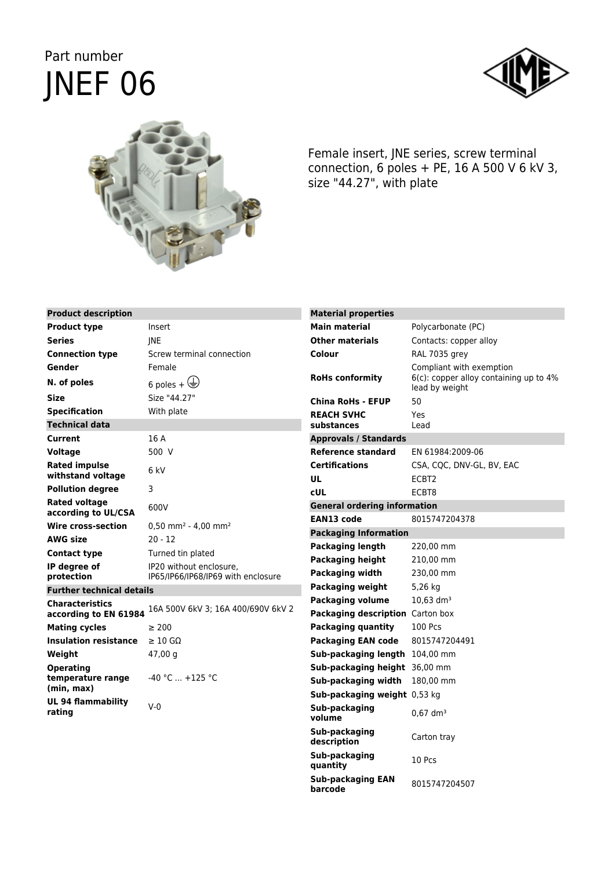## Part number JNEF 06





Female insert, JNE series, screw terminal connection, 6 poles + PE, 16 A 500 V 6 kV 3, size "44.27", with plate

| <b>Product description</b>                      |                                               | <b>Material properties</b>                                  |                                                             |
|-------------------------------------------------|-----------------------------------------------|-------------------------------------------------------------|-------------------------------------------------------------|
| <b>Product type</b>                             | Insert                                        | <b>Main material</b>                                        | Polycarbonate (PC)                                          |
| Series                                          | <b>INE</b>                                    | <b>Other materials</b>                                      | Contacts: copper alloy                                      |
| <b>Connection type</b>                          | Screw terminal connection                     | Colour                                                      | RAL 7035 grey                                               |
| Gender                                          | Female                                        |                                                             | Compliant with exemption                                    |
| N. of poles                                     | 6 poles + $\bigoplus$                         | <b>RoHs conformity</b>                                      | $6(c)$ : copper alloy containing up to 4%<br>lead by weight |
| Size                                            | Size "44.27"                                  | <b>China RoHs - EFUP</b>                                    | 50                                                          |
| <b>Specification</b>                            | With plate                                    | <b>REACH SVHC</b>                                           | Yes                                                         |
| <b>Technical data</b>                           |                                               | substances                                                  | Lead                                                        |
| Current                                         | 16 A                                          | <b>Approvals / Standards</b>                                |                                                             |
| Voltage                                         | 500 V                                         | Reference standard                                          | EN 61984:2009-06                                            |
| <b>Rated impulse</b>                            | 6 kV                                          | <b>Certifications</b>                                       | CSA, CQC, DNV-GL, BV, EAC                                   |
| withstand voltage                               |                                               | <b>UL</b>                                                   | ECBT2                                                       |
| <b>Pollution degree</b>                         | 3                                             | <b>cUL</b>                                                  | ECBT8                                                       |
| Rated voltage<br>according to UL/CSA            | 600V                                          | <b>General ordering information</b><br><b>EAN13 code</b>    | 8015747204378                                               |
| Wire cross-section                              | $0.50$ mm <sup>2</sup> - 4.00 mm <sup>2</sup> |                                                             |                                                             |
| AWG size                                        | $20 - 12$                                     | <b>Packaging Information</b>                                |                                                             |
| <b>Contact type</b>                             | Turned tin plated                             | <b>Packaging length</b>                                     | 220,00 mm                                                   |
| IP degree of                                    | IP20 without enclosure.                       | <b>Packaging height</b>                                     | 210,00 mm                                                   |
| protection                                      | IP65/IP66/IP68/IP69 with enclosure            | Packaging width                                             | 230,00 mm<br>5,26 kg                                        |
| <b>Further technical details</b>                |                                               | <b>Packaging weight</b>                                     | $10,63$ dm <sup>3</sup>                                     |
| <b>Characteristics</b><br>according to EN 61984 | 16A 500V 6kV 3; 16A 400/690V 6kV 2            | <b>Packaging volume</b><br>Packaging description Carton box |                                                             |
| <b>Mating cycles</b>                            | $\geq 200$                                    | <b>Packaging quantity</b>                                   | 100 Pcs                                                     |
| <b>Insulation resistance</b>                    | $\geq 10$ GQ                                  | <b>Packaging EAN code</b>                                   | 8015747204491                                               |
| Weight                                          | 47,00 g                                       | Sub-packaging length 104,00 mm                              |                                                             |
| <b>Operating</b>                                |                                               | Sub-packaging height 36,00 mm                               |                                                             |
| temperature range                               | $-40$ °C $+125$ °C                            | Sub-packaging width                                         | 180,00 mm                                                   |
| (min, max)                                      |                                               | Sub-packaging weight 0,53 kg                                |                                                             |
| <b>UL 94 flammability</b><br>rating             | $V-0$                                         | Sub-packaging<br>volume                                     | $0.67$ dm <sup>3</sup>                                      |
|                                                 |                                               | Sub-packaging<br>description                                | Carton tray                                                 |
|                                                 |                                               | Sub-packaging<br>quantity                                   | 10 Pcs                                                      |
|                                                 |                                               | <b>Sub-packaging EAN</b><br>barcode                         | 8015747204507                                               |